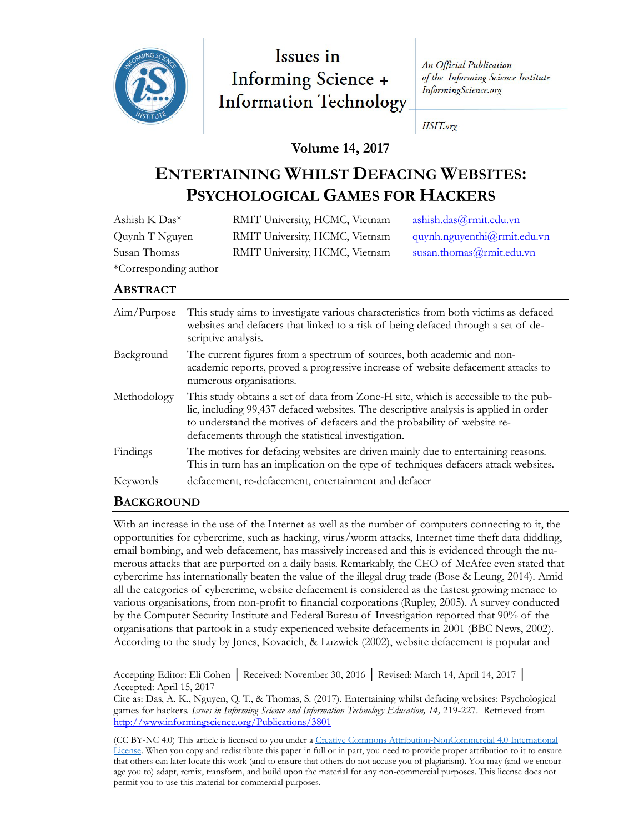

Issues in **Informing Science + Information Technology** 

An Official Publication of the Informing Science Institute InformingScience.org

**IISIT.org** 

# **Volume 14, 2017**

# **ENTERTAINING WHILST DEFACING WEBSITES: PSYCHOLOGICAL GAMES FOR HACKERS**

| Ashish K Das*         | RMIT University, HCMC, Vietnam | ashish.das@rmit.edu.vn      |
|-----------------------|--------------------------------|-----------------------------|
| Quynh T Nguyen        | RMIT University, HCMC, Vietnam | quynh.nguyenthi@rmit.edu.vn |
| Susan Thomas          | RMIT University, HCMC, Vietnam | susan.thomas@rmit.edu.vn    |
| *Corresponding author |                                |                             |

#### **ABSTRACT**

| Aim/Purpose | This study aims to investigate various characteristics from both victims as defaced<br>websites and defacers that linked to a risk of being defaced through a set of de-<br>scriptive analysis.                                                                                                              |
|-------------|--------------------------------------------------------------------------------------------------------------------------------------------------------------------------------------------------------------------------------------------------------------------------------------------------------------|
| Background  | The current figures from a spectrum of sources, both academic and non-<br>academic reports, proved a progressive increase of website defacement attacks to<br>numerous organisations.                                                                                                                        |
| Methodology | This study obtains a set of data from Zone-H site, which is accessible to the pub-<br>lic, including 99,437 defaced websites. The descriptive analysis is applied in order<br>to understand the motives of defacers and the probability of website re-<br>defacements through the statistical investigation. |
| Findings    | The motives for defacing websites are driven mainly due to entertaining reasons.<br>This in turn has an implication on the type of techniques defacers attack websites.                                                                                                                                      |
| Keywords    | defacement, re-defacement, entertainment and defacer                                                                                                                                                                                                                                                         |

# **BACKGROUND**

With an increase in the use of the Internet as well as the number of computers connecting to it, the opportunities for cybercrime, such as hacking, virus/worm attacks, Internet time theft data diddling, email bombing, and web defacement, has massively increased and this is evidenced through the numerous attacks that are purported on a daily basis. Remarkably, the CEO of McAfee even stated that cybercrime has internationally beaten the value of the illegal drug trade (Bose & Leung, 2014). Amid all the categories of cybercrime, website defacement is considered as the fastest growing menace to various organisations, from non-profit to financial corporations (Rupley, 2005). A survey conducted by the Computer Security Institute and Federal Bureau of Investigation reported that 90% of the organisations that partook in a study experienced website defacements in 2001 (BBC News, 2002). According to the study by Jones, Kovacich, & Luzwick (2002), website defacement is popular and

Accepting Editor: Eli Cohen │ Received: November 30, 2016 │ Revised: March 14, April 14, 2017 │ Accepted: April 15, 2017

Cite as: Das, A. K., Nguyen, Q. T., & Thomas, S. (2017). Entertaining whilst defacing websites: Psychological games for hackers. *Issues in Informing Science and Information Technology Education, 14,* 219-227. Retrieved from <http://www.informingscience.org/Publications/3801>

(CC BY-NC 4.0) This article is licensed to you under a Creative Commons Attribution-[NonCommercial 4.0 International](https://creativecommons.org/licenses/by-nc/4.0/)  [License.](https://creativecommons.org/licenses/by-nc/4.0/) When you copy and redistribute this paper in full or in part, you need to provide proper attribution to it to ensure that others can later locate this work (and to ensure that others do not accuse you of plagiarism). You may (and we encourage you to) adapt, remix, transform, and build upon the material for any non-commercial purposes. This license does not permit you to use this material for commercial purposes.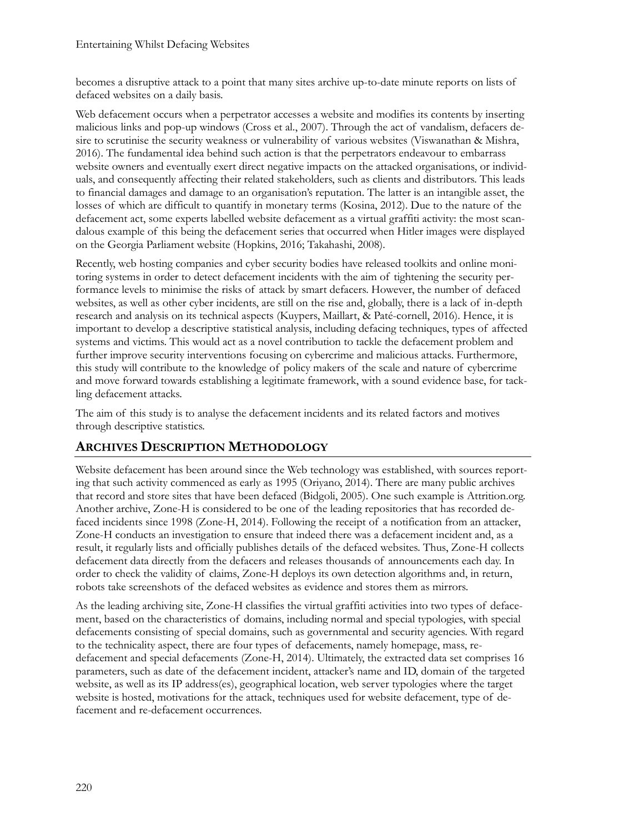becomes a disruptive attack to a point that many sites archive up-to-date minute reports on lists of defaced websites on a daily basis.

Web defacement occurs when a perpetrator accesses a website and modifies its contents by inserting malicious links and pop-up windows (Cross et al., 2007). Through the act of vandalism, defacers desire to scrutinise the security weakness or vulnerability of various websites (Viswanathan & Mishra, 2016). The fundamental idea behind such action is that the perpetrators endeavour to embarrass website owners and eventually exert direct negative impacts on the attacked organisations, or individuals, and consequently affecting their related stakeholders, such as clients and distributors. This leads to financial damages and damage to an organisation's reputation. The latter is an intangible asset, the losses of which are difficult to quantify in monetary terms (Kosina, 2012). Due to the nature of the defacement act, some experts labelled website defacement as a virtual graffiti activity: the most scandalous example of this being the defacement series that occurred when Hitler images were displayed on the Georgia Parliament website (Hopkins, 2016; Takahashi, 2008).

Recently, web hosting companies and cyber security bodies have released toolkits and online monitoring systems in order to detect defacement incidents with the aim of tightening the security performance levels to minimise the risks of attack by smart defacers. However, the number of defaced websites, as well as other cyber incidents, are still on the rise and, globally, there is a lack of in-depth research and analysis on its technical aspects (Kuypers, Maillart, & Paté-cornell, 2016). Hence, it is important to develop a descriptive statistical analysis, including defacing techniques, types of affected systems and victims. This would act as a novel contribution to tackle the defacement problem and further improve security interventions focusing on cybercrime and malicious attacks. Furthermore, this study will contribute to the knowledge of policy makers of the scale and nature of cybercrime and move forward towards establishing a legitimate framework, with a sound evidence base, for tackling defacement attacks.

The aim of this study is to analyse the defacement incidents and its related factors and motives through descriptive statistics.

# **ARCHIVES DESCRIPTION METHODOLOGY**

Website defacement has been around since the Web technology was established, with sources reporting that such activity commenced as early as 1995 (Oriyano, 2014). There are many public archives that record and store sites that have been defaced (Bidgoli, 2005). One such example is Attrition.org. Another archive, Zone-H is considered to be one of the leading repositories that has recorded defaced incidents since 1998 (Zone-H, 2014). Following the receipt of a notification from an attacker, Zone-H conducts an investigation to ensure that indeed there was a defacement incident and, as a result, it regularly lists and officially publishes details of the defaced websites. Thus, Zone-H collects defacement data directly from the defacers and releases thousands of announcements each day. In order to check the validity of claims, Zone-H deploys its own detection algorithms and, in return, robots take screenshots of the defaced websites as evidence and stores them as mirrors.

As the leading archiving site, Zone-H classifies the virtual graffiti activities into two types of defacement, based on the characteristics of domains, including normal and special typologies, with special defacements consisting of special domains, such as governmental and security agencies. With regard to the technicality aspect, there are four types of defacements, namely homepage, mass, redefacement and special defacements (Zone-H, 2014). Ultimately, the extracted data set comprises 16 parameters, such as date of the defacement incident, attacker's name and ID, domain of the targeted website, as well as its IP address(es), geographical location, web server typologies where the target website is hosted, motivations for the attack, techniques used for website defacement, type of defacement and re-defacement occurrences.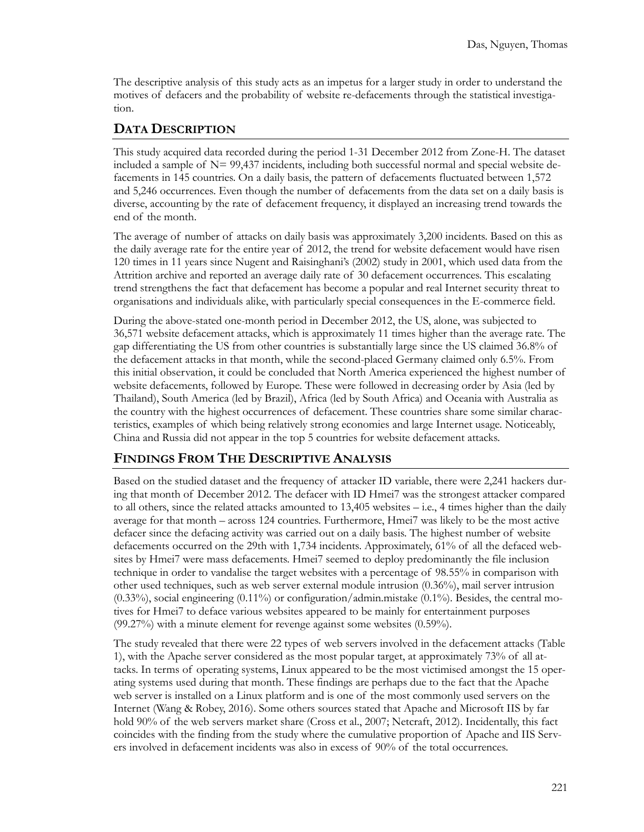The descriptive analysis of this study acts as an impetus for a larger study in order to understand the motives of defacers and the probability of website re-defacements through the statistical investigation.

### **DATA DESCRIPTION**

This study acquired data recorded during the period 1-31 December 2012 from Zone-H. The dataset included a sample of  $N = 99,437$  incidents, including both successful normal and special website defacements in 145 countries. On a daily basis, the pattern of defacements fluctuated between 1,572 and 5,246 occurrences. Even though the number of defacements from the data set on a daily basis is diverse, accounting by the rate of defacement frequency, it displayed an increasing trend towards the end of the month.

The average of number of attacks on daily basis was approximately 3,200 incidents. Based on this as the daily average rate for the entire year of 2012, the trend for website defacement would have risen 120 times in 11 years since Nugent and Raisinghani's (2002) study in 2001, which used data from the Attrition archive and reported an average daily rate of 30 defacement occurrences. This escalating trend strengthens the fact that defacement has become a popular and real Internet security threat to organisations and individuals alike, with particularly special consequences in the E-commerce field.

During the above-stated one-month period in December 2012, the US, alone, was subjected to 36,571 website defacement attacks, which is approximately 11 times higher than the average rate. The gap differentiating the US from other countries is substantially large since the US claimed 36.8% of the defacement attacks in that month, while the second-placed Germany claimed only 6.5%. From this initial observation, it could be concluded that North America experienced the highest number of website defacements, followed by Europe. These were followed in decreasing order by Asia (led by Thailand), South America (led by Brazil), Africa (led by South Africa) and Oceania with Australia as the country with the highest occurrences of defacement. These countries share some similar characteristics, examples of which being relatively strong economies and large Internet usage. Noticeably, China and Russia did not appear in the top 5 countries for website defacement attacks.

#### **FINDINGS FROM THE DESCRIPTIVE ANALYSIS**

Based on the studied dataset and the frequency of attacker ID variable, there were 2,241 hackers during that month of December 2012. The defacer with ID Hmei7 was the strongest attacker compared to all others, since the related attacks amounted to  $13,405$  websites  $-$  i.e., 4 times higher than the daily average for that month – across 124 countries. Furthermore, Hmei7 was likely to be the most active defacer since the defacing activity was carried out on a daily basis. The highest number of website defacements occurred on the 29th with 1,734 incidents. Approximately, 61% of all the defaced websites by Hmei7 were mass defacements. Hmei7 seemed to deploy predominantly the file inclusion technique in order to vandalise the target websites with a percentage of 98.55% in comparison with other used techniques, such as web server external module intrusion (0.36%), mail server intrusion  $(0.33\%)$ , social engineering  $(0.11\%)$  or configuration/admin.mistake  $(0.1\%)$ . Besides, the central motives for Hmei7 to deface various websites appeared to be mainly for entertainment purposes (99.27%) with a minute element for revenge against some websites (0.59%).

The study revealed that there were 22 types of web servers involved in the defacement attacks (Table 1), with the Apache server considered as the most popular target, at approximately 73% of all attacks. In terms of operating systems, Linux appeared to be the most victimised amongst the 15 operating systems used during that month. These findings are perhaps due to the fact that the Apache web server is installed on a Linux platform and is one of the most commonly used servers on the Internet (Wang & Robey, 2016). Some others sources stated that Apache and Microsoft IIS by far hold 90% of the web servers market share (Cross et al., 2007; Netcraft, 2012). Incidentally, this fact coincides with the finding from the study where the cumulative proportion of Apache and IIS Servers involved in defacement incidents was also in excess of 90% of the total occurrences.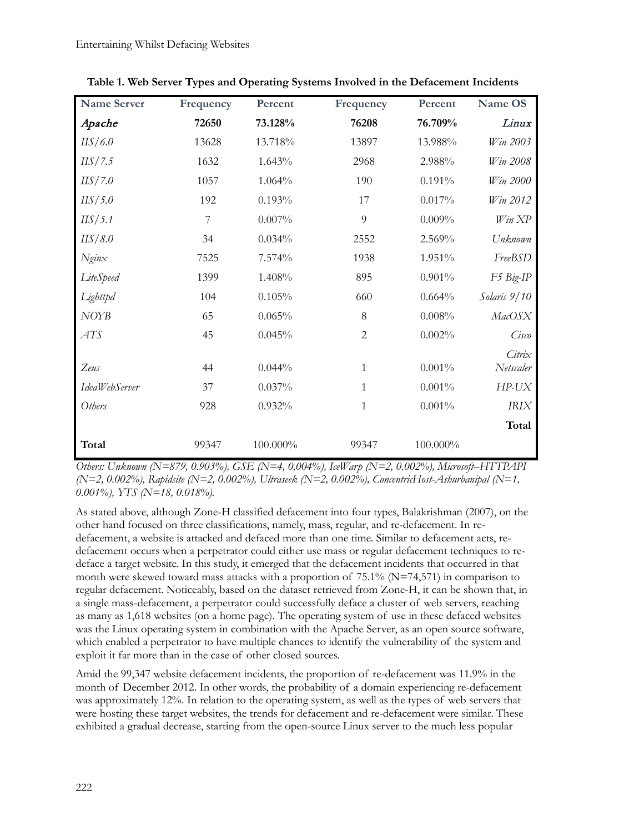| <b>Name Server</b> | Frequency      | Percent   | Frequency      | Percent   | Name OS             |
|--------------------|----------------|-----------|----------------|-----------|---------------------|
| Apache             | 72650          | 73.128%   | 76208          | 76.709%   | Linux               |
| IIS/6.0            | 13628          | 13.718%   | 13897          | 13.988%   | Win 2003            |
| IIS/7.5            | 1632           | 1.643%    | 2968           | 2.988%    | Win 2008            |
| IIS/7.0            | 1057           | 1.064%    | 190            | 0.191%    | Win 2000            |
| IIS/5.0            | 192            | 0.193%    | 17             | 0.017%    | Win 2012            |
| IIS/5.1            | $\overline{7}$ | $0.007\%$ | 9              | 0.009%    | Win XP              |
| IIS/8.0            | 34             | 0.034%    | 2552           | 2.569%    | Unknown             |
| $N$ gin $x$        | 7525           | 7.574%    | 1938           | 1.951%    | FreeBSD             |
| LiteSpeed          | 1399           | 1.408%    | 895            | 0.901%    | F5 Big-IP           |
| Lighttpd           | 104            | 0.105%    | 660            | 0.664%    | Solaris 9/10        |
| <b>NOYB</b>        | 65             | 0.065%    | 8              | 0.008%    | MacOSX              |
| ATS                | 45             | 0.045%    | $\overline{2}$ | 0.002%    | Cisco               |
| Zeus               | 44             | 0.044%    | 1              | 0.001%    | Citrix<br>Netscaler |
| IdeaWebServer      | 37             | 0.037%    | $\mathbf{1}$   | 0.001%    | $HP-UX$             |
| Others             | 928            | 0.932%    | $\mathbf{1}$   | $0.001\%$ | <b>IRIX</b>         |
|                    |                |           |                |           | Total               |
| Total              | 99347          | 100.000%  | 99347          | 100.000%  |                     |

**Table 1. Web Server Types and Operating Systems Involved in the Defacement Incidents**

*Others: Unknown (N=879, 0.903%), GSE (N=4, 0.004%), IceWarp (N=2, 0.002%), Microsoft–HTTPAPI (N=2, 0.002%), Rapidsite (N=2, 0.002%), Ultraseek (N=2, 0.002%), ConcentricHost-Ashurbanipal (N=1, 0.001%), YTS (N=18, 0.018%).*

As stated above, although Zone-H classified defacement into four types, Balakrishman (2007), on the other hand focused on three classifications, namely, mass, regular, and re-defacement. In redefacement, a website is attacked and defaced more than one time. Similar to defacement acts, redefacement occurs when a perpetrator could either use mass or regular defacement techniques to redeface a target website. In this study, it emerged that the defacement incidents that occurred in that month were skewed toward mass attacks with a proportion of  $75.1\%$  (N=74,571) in comparison to regular defacement. Noticeably, based on the dataset retrieved from Zone-H, it can be shown that, in a single mass-defacement, a perpetrator could successfully deface a cluster of web servers, reaching as many as 1,618 websites (on a home page). The operating system of use in these defaced websites was the Linux operating system in combination with the Apache Server, as an open source software, which enabled a perpetrator to have multiple chances to identify the vulnerability of the system and exploit it far more than in the case of other closed sources.

Amid the 99,347 website defacement incidents, the proportion of re-defacement was 11.9% in the month of December 2012. In other words, the probability of a domain experiencing re-defacement was approximately 12%. In relation to the operating system, as well as the types of web servers that were hosting these target websites, the trends for defacement and re-defacement were similar. These exhibited a gradual decrease, starting from the open-source Linux server to the much less popular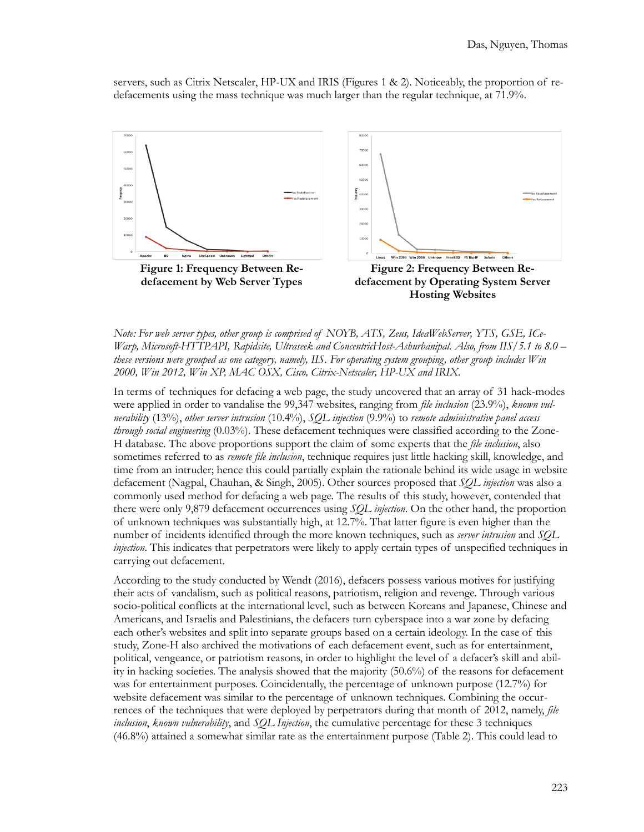servers, such as Citrix Netscaler, HP-UX and IRIS (Figures 1 & 2). Noticeably, the proportion of redefacements using the mass technique was much larger than the regular technique, at 71.9%.



*Note: For web server types, other group is comprised of NOYB, ATS, Zeus, IdeaWebServer, YTS, GSE, ICe-Warp, Microsoft-HTTPAPI, Rapidsite, Ultraseek and ConcentricHost-Ashurbanipal. Also, from IIS/5.1 to 8.0 – these versions were grouped as one category, namely, IIS. For operating system grouping, other group includes Win 2000, Win 2012, Win XP, MAC OSX, Cisco, Citrix-Netscaler, HP-UX and IRIX.* 

In terms of techniques for defacing a web page, the study uncovered that an array of 31 hack-modes were applied in order to vandalise the 99,347 websites, ranging from *file inclusion* (23.9%), *known vulnerability* (13%), *other server intrusion* (10.4%), *SQL injection* (9.9%) to *remote administrative panel access through social engineering* (0.03%). These defacement techniques were classified according to the Zone-H database. The above proportions support the claim of some experts that the *file inclusion*, also sometimes referred to as *remote file inclusion*, technique requires just little hacking skill, knowledge, and time from an intruder; hence this could partially explain the rationale behind its wide usage in website defacement (Nagpal, Chauhan, & Singh, 2005). Other sources proposed that *SQL injection* was also a commonly used method for defacing a web page. The results of this study, however, contended that there were only 9,879 defacement occurrences using *SQL injection*. On the other hand, the proportion of unknown techniques was substantially high, at 12.7%. That latter figure is even higher than the number of incidents identified through the more known techniques, such as *server intrusion* and *SQL injection*. This indicates that perpetrators were likely to apply certain types of unspecified techniques in carrying out defacement.

According to the study conducted by Wendt (2016), defacers possess various motives for justifying their acts of vandalism, such as political reasons, patriotism, religion and revenge. Through various socio-political conflicts at the international level, such as between Koreans and Japanese, Chinese and Americans, and Israelis and Palestinians, the defacers turn cyberspace into a war zone by defacing each other's websites and split into separate groups based on a certain ideology. In the case of this study, Zone-H also archived the motivations of each defacement event, such as for entertainment, political, vengeance, or patriotism reasons, in order to highlight the level of a defacer's skill and ability in hacking societies. The analysis showed that the majority (50.6%) of the reasons for defacement was for entertainment purposes. Coincidentally, the percentage of unknown purpose (12.7%) for website defacement was similar to the percentage of unknown techniques. Combining the occurrences of the techniques that were deployed by perpetrators during that month of 2012, namely, *file inclusion*, *known vulnerability*, and *SQL Injection*, the cumulative percentage for these 3 techniques (46.8%) attained a somewhat similar rate as the entertainment purpose (Table 2). This could lead to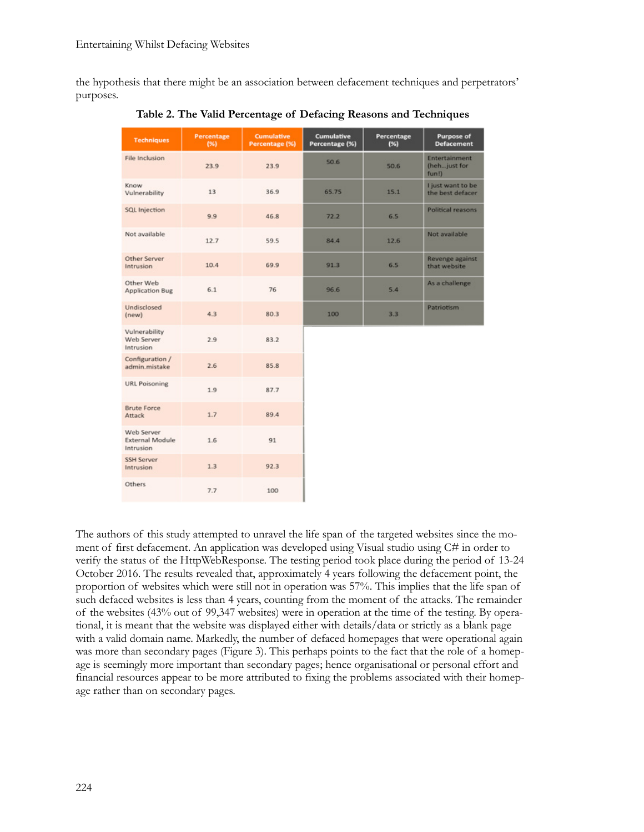the hypothesis that there might be an association between defacement techniques and perpetrators' purposes.

| <b>Techniques</b>                                 | Percentage<br>(96) | <b>Cumulative</b><br>Percentage (%) | <b>Cumulative</b><br>Percentage (%) | Percentage<br>$(*)$ | Purpose of<br><b>Defacement</b>               |
|---------------------------------------------------|--------------------|-------------------------------------|-------------------------------------|---------------------|-----------------------------------------------|
| File Inclusion                                    | 23.9               | 23.9                                | 50.6                                | 50.6                | <b>Entertainment</b><br>(hehjust for<br>fun!) |
| Know<br>Vulnerability                             | 13                 | 36.9                                | 65.75                               | 15.1                | I just want to be<br>the best defacer         |
| SQL Injection                                     | 9.9                | 46.8                                | 72.2                                | 6.5                 | Political reasons                             |
| Not available                                     | 12.7               | 59.5                                | 84.4                                | 12.6                | Not available                                 |
| Other Server<br>Intrusion                         | 10.4               | 69.9                                | 91.3                                | 6.5                 | Revenge against<br>that website               |
| Other Web<br><b>Application Bug</b>               | 6.1                | 76                                  | 96.6                                | 5.4                 | As a challenge                                |
| Undisclosed<br>(new)                              | 4.3                | 80.3                                | 100                                 | 3.3                 | Patriotism                                    |
| Vulnerability<br>Web Server<br>Intrusion          | 2.9                | 83.2                                |                                     |                     |                                               |
| Configuration /<br>admin.mistake                  | 2.6                | 85.8                                |                                     |                     |                                               |
| <b>URL Poisoning</b>                              | 1.9                | 87.7                                |                                     |                     |                                               |
| <b>Brute Force</b><br>Attack                      | 1.7                | 89.4                                |                                     |                     |                                               |
| Web Server<br><b>External Module</b><br>Intrusion | 1.6                | 91                                  |                                     |                     |                                               |
| <b>SSH Server</b><br>Intrusion                    | 1.3                | 92.3                                |                                     |                     |                                               |
| Others                                            | 7.7                | 100                                 |                                     |                     |                                               |

**Table 2. The Valid Percentage of Defacing Reasons and Techniques**

The authors of this study attempted to unravel the life span of the targeted websites since the moment of first defacement. An application was developed using Visual studio using C# in order to verify the status of the HttpWebResponse. The testing period took place during the period of 13-24 October 2016. The results revealed that, approximately 4 years following the defacement point, the proportion of websites which were still not in operation was 57%. This implies that the life span of such defaced websites is less than 4 years, counting from the moment of the attacks. The remainder of the websites (43% out of 99,347 websites) were in operation at the time of the testing. By operational, it is meant that the website was displayed either with details/data or strictly as a blank page with a valid domain name. Markedly, the number of defaced homepages that were operational again was more than secondary pages (Figure 3). This perhaps points to the fact that the role of a homepage is seemingly more important than secondary pages; hence organisational or personal effort and financial resources appear to be more attributed to fixing the problems associated with their homepage rather than on secondary pages.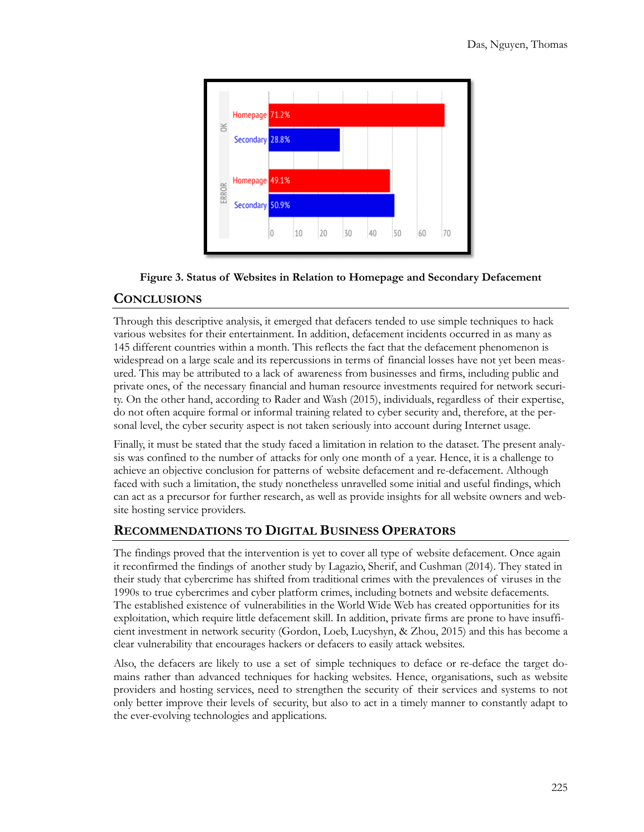

# **Figure 3. Status of Websites in Relation to Homepage and Secondary Defacement**

#### **CONCLUSIONS**

Through this descriptive analysis, it emerged that defacers tended to use simple techniques to hack various websites for their entertainment. In addition, defacement incidents occurred in as many as 145 different countries within a month. This reflects the fact that the defacement phenomenon is widespread on a large scale and its repercussions in terms of financial losses have not yet been measured. This may be attributed to a lack of awareness from businesses and firms, including public and private ones, of the necessary financial and human resource investments required for network security. On the other hand, according to Rader and Wash (2015), individuals, regardless of their expertise, do not often acquire formal or informal training related to cyber security and, therefore, at the personal level, the cyber security aspect is not taken seriously into account during Internet usage.

Finally, it must be stated that the study faced a limitation in relation to the dataset. The present analysis was confined to the number of attacks for only one month of a year. Hence, it is a challenge to achieve an objective conclusion for patterns of website defacement and re-defacement. Although faced with such a limitation, the study nonetheless unravelled some initial and useful findings, which can act as a precursor for further research, as well as provide insights for all website owners and website hosting service providers.

# **RECOMMENDATIONS TO DIGITAL BUSINESS OPERATORS**

The findings proved that the intervention is yet to cover all type of website defacement. Once again it reconfirmed the findings of another study by Lagazio, Sherif, and Cushman (2014). They stated in their study that cybercrime has shifted from traditional crimes with the prevalences of viruses in the 1990s to true cybercrimes and cyber platform crimes, including botnets and website defacements. The established existence of vulnerabilities in the World Wide Web has created opportunities for its exploitation, which require little defacement skill. In addition, private firms are prone to have insufficient investment in network security (Gordon, Loeb, Lucyshyn, & Zhou, 2015) and this has become a clear vulnerability that encourages hackers or defacers to easily attack websites.

Also, the defacers are likely to use a set of simple techniques to deface or re-deface the target domains rather than advanced techniques for hacking websites. Hence, organisations, such as website providers and hosting services, need to strengthen the security of their services and systems to not only better improve their levels of security, but also to act in a timely manner to constantly adapt to the ever-evolving technologies and applications.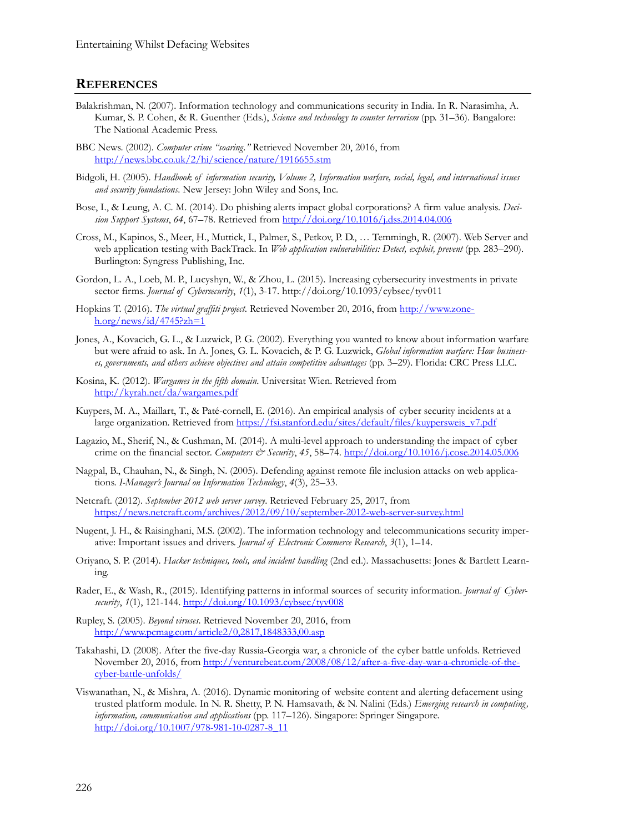#### **REFERENCES**

- Balakrishman, N. (2007). Information technology and communications security in India. In R. Narasimha, A. Kumar, S. P. Cohen, & R. Guenther (Eds.), *Science and technology to counter terrorism* (pp. 31–36). Bangalore: The National Academic Press.
- BBC News. (2002). *Computer crime "soaring."* Retrieved November 20, 2016, from <http://news.bbc.co.uk/2/hi/science/nature/1916655.stm>
- Bidgoli, H. (2005). *Handbook of information security, Volume 2, Information warfare, social, legal, and international issues and security foundations*. New Jersey: John Wiley and Sons, Inc.
- Bose, I., & Leung, A. C. M. (2014). Do phishing alerts impact global corporations? A firm value analysis. *Decision Support Systems*, *64*, 67–78. Retrieved from <http://doi.org/10.1016/j.dss.2014.04.006>
- Cross, M., Kapinos, S., Meer, H., Muttick, I., Palmer, S., Petkov, P. D., … Temmingh, R. (2007). Web Server and web application testing with BackTrack. In *Web application vulnerabilities: Detect, exploit, prevent* (pp. 283–290). Burlington: Syngress Publishing, Inc.
- Gordon, L. A., Loeb, M. P., Lucyshyn, W., & Zhou, L. (2015). Increasing cybersecurity investments in private sector firms. *Journal of Cybersecurity*, *1*(1), 3-17. http://doi.org/10.1093/cybsec/tyv011
- Hopkins T. (2016). *The virtual graffiti project*. Retrieved November 20, 2016, from [http://www.zone](http://www.zone-h.org/news/id/4745?zh=1) $h.org/news/id/4745?zh=1$
- Jones, A., Kovacich, G. L., & Luzwick, P. G. (2002). Everything you wanted to know about information warfare but were afraid to ask. In A. Jones, G. L. Kovacich, & P. G. Luzwick, *Global information warfare: How businesses, governments, and others achieve objectives and attain competitive advantages* (pp. 3–29). Florida: CRC Press LLC.
- Kosina, K. (2012). *Wargames in the fifth domain*. Universitat Wien. Retrieved from <http://kyrah.net/da/wargames.pdf>
- Kuypers, M. A., Maillart, T., & Paté-cornell, E. (2016). An empirical analysis of cyber security incidents at a large organization. Retrieved from [https://fsi.stanford.edu/sites/default/files/kuypersweis\\_v7.pdf](https://fsi.stanford.edu/sites/default/files/kuypersweis_v7.pdf)
- Lagazio, M., Sherif, N., & Cushman, M. (2014). A multi-level approach to understanding the impact of cyber crime on the financial sector. *Computers & Security*, *45*, 58–74.<http://doi.org/10.1016/j.cose.2014.05.006>
- Nagpal, B., Chauhan, N., & Singh, N. (2005). Defending against remote file inclusion attacks on web applications. *I-Manager's Journal on Information Technology*, *4*(3), 25–33.
- Netcraft. (2012). *September 2012 web server survey*. Retrieved February 25, 2017, from [https://news.netcraft.com/archives/2012/09/10/september](https://news.netcraft.com/archives/2012/09/10/september-2012-web-server-survey.html)-2012-web-server-survey.html
- Nugent, J. H., & Raisinghani, M.S. (2002). The information technology and telecommunications security imperative: Important issues and drivers. *Journal of Electronic Commerce Research*, *3*(1), 1–14.
- Oriyano, S. P. (2014). *Hacker techniques, tools, and incident handling* (2nd ed.). Massachusetts: Jones & Bartlett Learning.
- Rader, E., & Wash, R., (2015). Identifying patterns in informal sources of security information. *Journal of Cybersecurity*, *1*(1), 121-144.<http://doi.org/10.1093/cybsec/tyv008>
- Rupley, S. (2005). *Beyond viruses*. Retrieved November 20, 2016, from htt[p://www.pcmag.com/article2/0,2817,1848333,00.asp](http://www.pcmag.com/article2/0,2817,1848333,00.asp)
- Takahashi, D. (2008). After the five-day Russia-Georgia war, a chronicle of the cyber battle unfolds. Retrieved November 20, 2016, from [http://venturebeat.com/2008/08/12/after](http://venturebeat.com/2008/08/12/after-a-five-day-war-a-chronicle-of-the-cyber-battle-unfolds/)-a-five-day-war-a-chronicle-of-thecyber-battle-[unfolds/](http://venturebeat.com/2008/08/12/after-a-five-day-war-a-chronicle-of-the-cyber-battle-unfolds/)
- Viswanathan, N., & Mishra, A. (2016). Dynamic monitoring of website content and alerting defacement using trusted platform module. In N. R. Shetty, P. N. Hamsavath, & N. Nalini (Eds.) *Emerging research in computing, information, communication and applications* (pp. 117–126). Singapore: Springer Singapore. [http://doi.org/10.1007/978](http://doi.org/10.1007/978-981-10-0287-8_11)-981-10-0287-8\_11